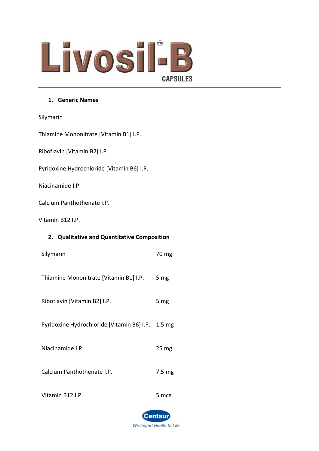# Livosil-B **CAPSULES**

#### **1. Generic Names**

Silymarin

Thiamine Mononitrate [Vitamin B1] I.P.

Riboflavin [Vitamin B2] I.P.

Pyridoxine Hydrochloride [Vitamin B6] I.P.

Niacinamide I.P.

Calcium Panthothenate I.P.

Vitamin B12 I.P.

#### **2. Qualitative and Quantitative Composition**

| Silymarin                                         | 70 mg            |
|---------------------------------------------------|------------------|
| Thiamine Mononitrate [Vitamin B1] I.P.            | 5 mg             |
| Riboflavin [Vitamin B2] I.P.                      | 5 mg             |
| Pyridoxine Hydrochloride [Vitamin B6] I.P. 1.5 mg |                  |
| Niacinamide I.P.                                  | 25 <sub>mg</sub> |
| Calcium Panthothenate I.P.                        | $7.5 \text{ mg}$ |
| Vitamin B12 I.P.                                  | 5 mcg            |

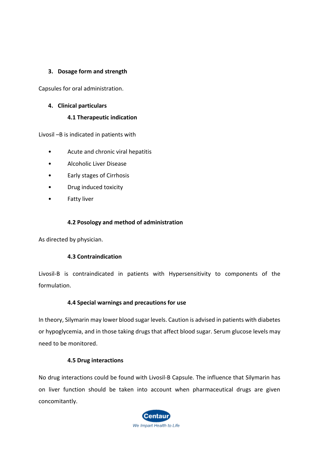#### **3. Dosage form and strength**

Capsules for oral administration.

## **4. Clinical particulars**

#### **4.1 Therapeutic indication**

Livosil –B is indicated in patients with

- Acute and chronic viral hepatitis
- Alcoholic Liver Disease
- Early stages of Cirrhosis
- Drug induced toxicity
- Fatty liver

#### **4.2 Posology and method of administration**

As directed by physician.

#### **4.3 Contraindication**

Livosil-B is contraindicated in patients with Hypersensitivity to components of the formulation.

#### **4.4 Special warnings and precautions for use**

In theory, Silymarin may lower blood sugar levels. Caution is advised in patients with diabetes or hypoglycemia, and in those taking drugs that affect blood sugar. Serum glucose levels may need to be monitored.

#### **4.5 Drug interactions**

No drug interactions could be found with Livosil-B Capsule. The influence that Silymarin has on liver function should be taken into account when pharmaceutical drugs are given concomitantly.

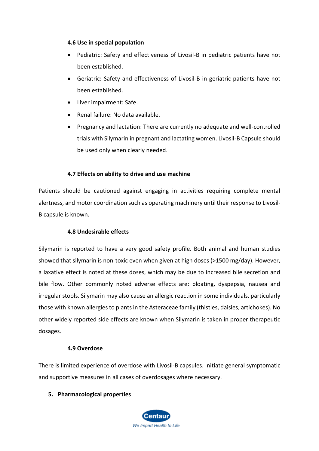#### **4.6 Use in special population**

- Pediatric: Safety and effectiveness of Livosil-B in pediatric patients have not been established.
- Geriatric: Safety and effectiveness of Livosil-B in geriatric patients have not been established.
- Liver impairment: Safe.
- Renal failure: No data available.
- Pregnancy and lactation: There are currently no adequate and well-controlled trials with Silymarin in pregnant and lactating women. Livosil-B Capsule should be used only when clearly needed.

#### **4.7 Effects on ability to drive and use machine**

Patients should be cautioned against engaging in activities requiring complete mental alertness, and motor coordination such as operating machinery until their response to Livosil-B capsule is known.

#### **4.8 Undesirable effects**

Silymarin is reported to have a very good safety profile. Both animal and human studies showed that silymarin is non-toxic even when given at high doses (>1500 mg/day). However, a laxative effect is noted at these doses, which may be due to increased bile secretion and bile flow. Other commonly noted adverse effects are: bloating, dyspepsia, nausea and irregular stools. Silymarin may also cause an allergic reaction in some individuals, particularly those with known allergies to plants in the Asteraceae family (thistles, daisies, artichokes). No other widely reported side effects are known when Silymarin is taken in proper therapeutic dosages.

#### **4.9 Overdose**

There is limited experience of overdose with Livosil-B capsules. Initiate general symptomatic and supportive measures in all cases of overdosages where necessary.

#### **5. Pharmacological properties**

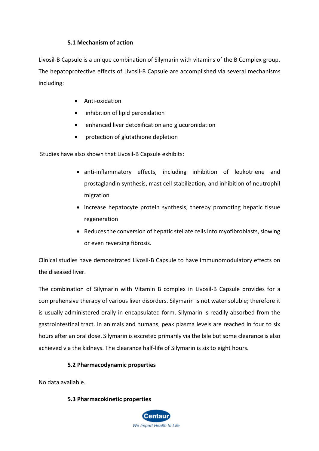## **5.1 Mechanism of action**

Livosil-B Capsule is a unique combination of Silymarin with vitamins of the B Complex group. The hepatoprotective effects of Livosil-B Capsule are accomplished via several mechanisms including:

- Anti-oxidation
- inhibition of lipid peroxidation
- enhanced liver detoxification and glucuronidation
- protection of glutathione depletion

Studies have also shown that Livosil-B Capsule exhibits:

- anti-inflammatory effects, including inhibition of leukotriene and prostaglandin synthesis, mast cell stabilization, and inhibition of neutrophil migration
- increase hepatocyte protein synthesis, thereby promoting hepatic tissue regeneration
- Reduces the conversion of hepatic stellate cells into myofibroblasts, slowing or even reversing fibrosis.

Clinical studies have demonstrated Livosil-B Capsule to have immunomodulatory effects on the diseased liver.

The combination of Silymarin with Vitamin B complex in Livosil-B Capsule provides for a comprehensive therapy of various liver disorders. Silymarin is not water soluble; therefore it is usually administered orally in encapsulated form. Silymarin is readily absorbed from the gastrointestinal tract. In animals and humans, peak plasma levels are reached in four to six hours after an oral dose. Silymarin is excreted primarily via the bile but some clearance is also achieved via the kidneys. The clearance half-life of Silymarin is six to eight hours.

# **5.2 Pharmacodynamic properties**

No data available.

#### **5.3 Pharmacokinetic properties**

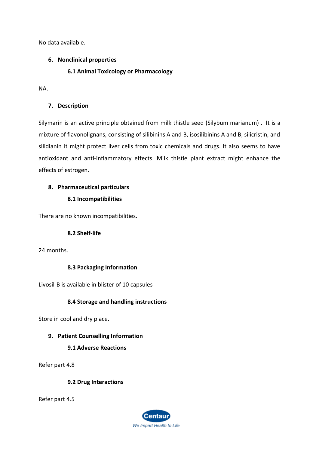No data available.

#### **6. Nonclinical properties**

#### **6.1 Animal Toxicology or Pharmacology**

NA.

## **7. Description**

Silymarin is an active principle obtained from milk thistle seed (Silybum marianum) . It is a mixture of flavonolignans, consisting of silibinins A and B, isosilibinins A and B, silicristin, and silidianin It might protect liver cells from toxic chemicals and drugs. It also seems to have antioxidant and anti-inflammatory effects. Milk thistle plant extract might enhance the effects of estrogen.

# **8. Pharmaceutical particulars**

# **8.1 Incompatibilities**

There are no known incompatibilities.

#### **8.2 Shelf-life**

24 months.

#### **8.3 Packaging Information**

Livosil-B is available in blister of 10 capsules

# **8.4 Storage and handling instructions**

Store in cool and dry place.

# **9. Patient Counselling Information**

# **9.1 Adverse Reactions**

Refer part 4.8

#### **9.2 Drug Interactions**

Refer part 4.5